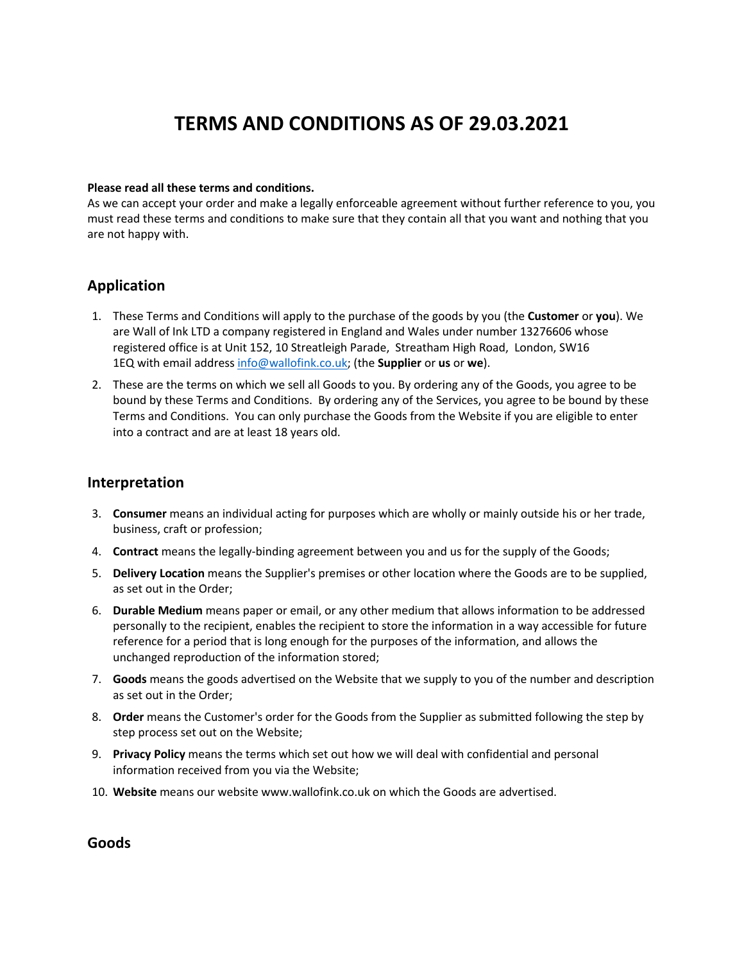# **TERMS AND CONDITIONS AS OF 29.03.2021**

#### **Please read all these terms and conditions.**

As we can accept your order and make a legally enforceable agreement without further reference to you, you must read these terms and conditions to make sure that they contain all that you want and nothing that you are not happy with.

# **Application**

- 1. These Terms and Conditions will apply to the purchase of the goods by you (the **Customer** or **you**). We are Wall of Ink LTD a company registered in England and Wales under number 13276606 whose registered office is at Unit 152, 10 Streatleigh Parade, Streatham High Road, London, SW16 1EQ with email address info@wallofink.co.uk; (the **Supplier** or **us** or **we**).
- 2. These are the terms on which we sell all Goods to you. By ordering any of the Goods, you agree to be bound by these Terms and Conditions. By ordering any of the Services, you agree to be bound by these Terms and Conditions. You can only purchase the Goods from the Website if you are eligible to enter into a contract and are at least 18 years old.

### **Interpretation**

- 3. **Consumer** means an individual acting for purposes which are wholly or mainly outside his or her trade, business, craft or profession;
- 4. **Contract** means the legally-binding agreement between you and us for the supply of the Goods;
- 5. **Delivery Location** means the Supplier's premises or other location where the Goods are to be supplied, as set out in the Order;
- 6. **Durable Medium** means paper or email, or any other medium that allows information to be addressed personally to the recipient, enables the recipient to store the information in a way accessible for future reference for a period that is long enough for the purposes of the information, and allows the unchanged reproduction of the information stored;
- 7. **Goods** means the goods advertised on the Website that we supply to you of the number and description as set out in the Order;
- 8. **Order** means the Customer's order for the Goods from the Supplier as submitted following the step by step process set out on the Website;
- 9. **Privacy Policy** means the terms which set out how we will deal with confidential and personal information received from you via the Website;
- 10. **Website** means our website www.wallofink.co.uk on which the Goods are advertised.

**Goods**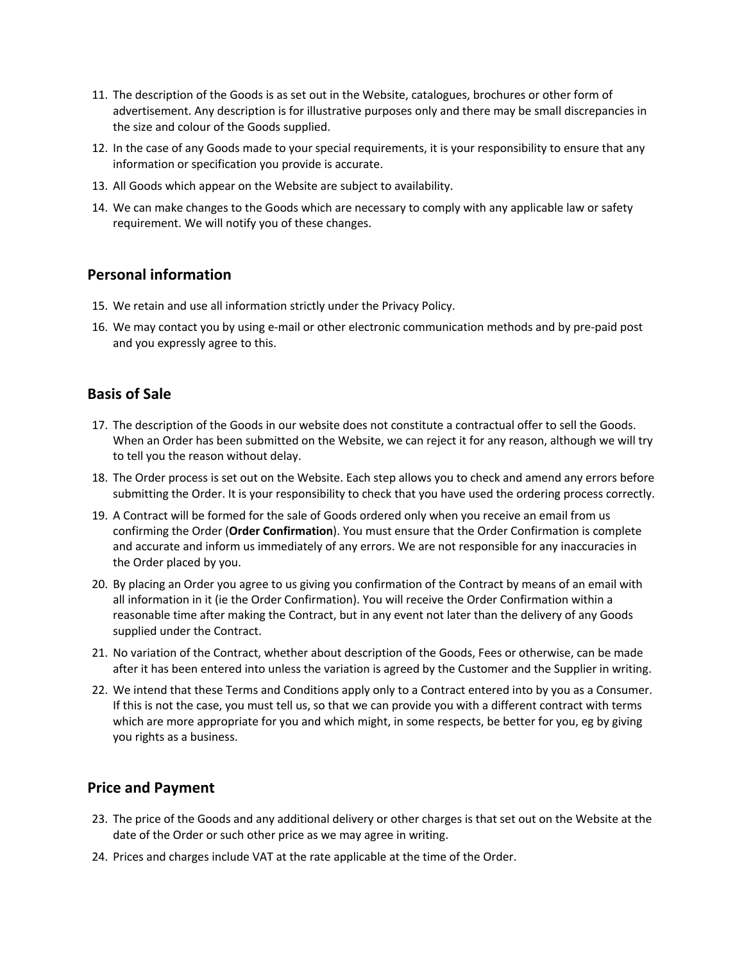- 11. The description of the Goods is as set out in the Website, catalogues, brochures or other form of advertisement. Any description is for illustrative purposes only and there may be small discrepancies in the size and colour of the Goods supplied.
- 12. In the case of any Goods made to your special requirements, it is your responsibility to ensure that any information or specification you provide is accurate.
- 13. All Goods which appear on the Website are subject to availability.
- 14. We can make changes to the Goods which are necessary to comply with any applicable law or safety requirement. We will notify you of these changes.

# **Personal information**

- 15. We retain and use all information strictly under the Privacy Policy.
- 16. We may contact you by using e-mail or other electronic communication methods and by pre-paid post and you expressly agree to this.

# **Basis of Sale**

- 17. The description of the Goods in our website does not constitute a contractual offer to sell the Goods. When an Order has been submitted on the Website, we can reject it for any reason, although we will try to tell you the reason without delay.
- 18. The Order process is set out on the Website. Each step allows you to check and amend any errors before submitting the Order. It is your responsibility to check that you have used the ordering process correctly.
- 19. A Contract will be formed for the sale of Goods ordered only when you receive an email from us confirming the Order (**Order Confirmation**). You must ensure that the Order Confirmation is complete and accurate and inform us immediately of any errors. We are not responsible for any inaccuracies in the Order placed by you.
- 20. By placing an Order you agree to us giving you confirmation of the Contract by means of an email with all information in it (ie the Order Confirmation). You will receive the Order Confirmation within a reasonable time after making the Contract, but in any event not later than the delivery of any Goods supplied under the Contract.
- 21. No variation of the Contract, whether about description of the Goods, Fees or otherwise, can be made after it has been entered into unless the variation is agreed by the Customer and the Supplier in writing.
- 22. We intend that these Terms and Conditions apply only to a Contract entered into by you as a Consumer. If this is not the case, you must tell us, so that we can provide you with a different contract with terms which are more appropriate for you and which might, in some respects, be better for you, eg by giving you rights as a business.

# **Price and Payment**

- 23. The price of the Goods and any additional delivery or other charges is that set out on the Website at the date of the Order or such other price as we may agree in writing.
- 24. Prices and charges include VAT at the rate applicable at the time of the Order.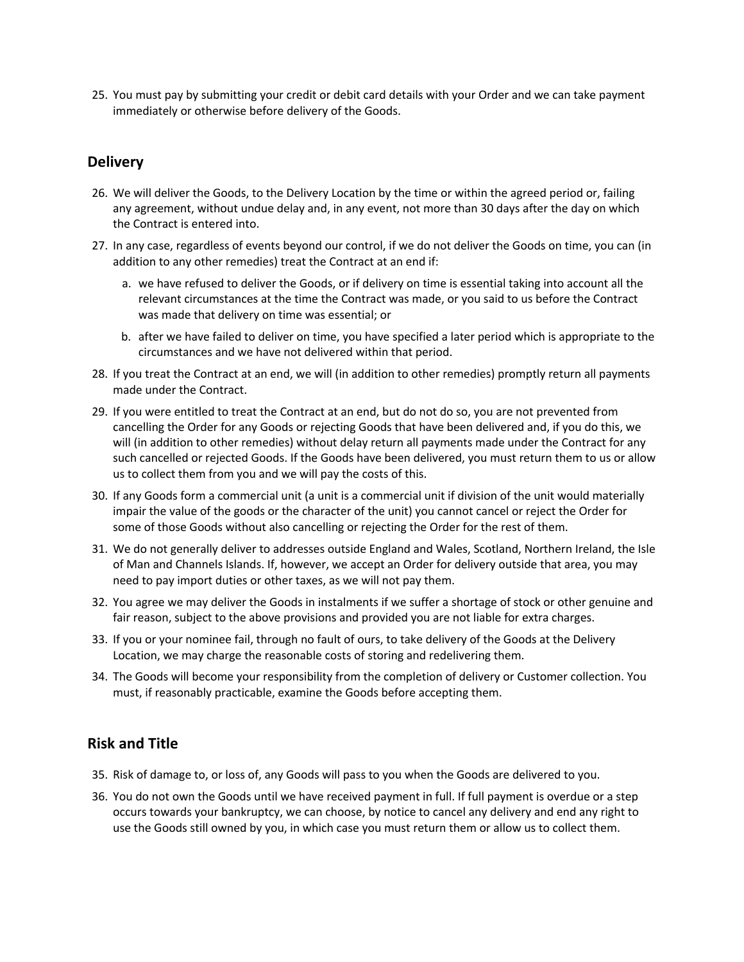25. You must pay by submitting your credit or debit card details with your Order and we can take payment immediately or otherwise before delivery of the Goods.

# **Delivery**

- 26. We will deliver the Goods, to the Delivery Location by the time or within the agreed period or, failing any agreement, without undue delay and, in any event, not more than 30 days after the day on which the Contract is entered into.
- 27. In any case, regardless of events beyond our control, if we do not deliver the Goods on time, you can (in addition to any other remedies) treat the Contract at an end if:
	- a. we have refused to deliver the Goods, or if delivery on time is essential taking into account all the relevant circumstances at the time the Contract was made, or you said to us before the Contract was made that delivery on time was essential; or
	- b. after we have failed to deliver on time, you have specified a later period which is appropriate to the circumstances and we have not delivered within that period.
- 28. If you treat the Contract at an end, we will (in addition to other remedies) promptly return all payments made under the Contract.
- 29. If you were entitled to treat the Contract at an end, but do not do so, you are not prevented from cancelling the Order for any Goods or rejecting Goods that have been delivered and, if you do this, we will (in addition to other remedies) without delay return all payments made under the Contract for any such cancelled or rejected Goods. If the Goods have been delivered, you must return them to us or allow us to collect them from you and we will pay the costs of this.
- 30. If any Goods form a commercial unit (a unit is a commercial unit if division of the unit would materially impair the value of the goods or the character of the unit) you cannot cancel or reject the Order for some of those Goods without also cancelling or rejecting the Order for the rest of them.
- 31. We do not generally deliver to addresses outside England and Wales, Scotland, Northern Ireland, the Isle of Man and Channels Islands. If, however, we accept an Order for delivery outside that area, you may need to pay import duties or other taxes, as we will not pay them.
- 32. You agree we may deliver the Goods in instalments if we suffer a shortage of stock or other genuine and fair reason, subject to the above provisions and provided you are not liable for extra charges.
- 33. If you or your nominee fail, through no fault of ours, to take delivery of the Goods at the Delivery Location, we may charge the reasonable costs of storing and redelivering them.
- 34. The Goods will become your responsibility from the completion of delivery or Customer collection. You must, if reasonably practicable, examine the Goods before accepting them.

# **Risk and Title**

- 35. Risk of damage to, or loss of, any Goods will pass to you when the Goods are delivered to you.
- 36. You do not own the Goods until we have received payment in full. If full payment is overdue or a step occurs towards your bankruptcy, we can choose, by notice to cancel any delivery and end any right to use the Goods still owned by you, in which case you must return them or allow us to collect them.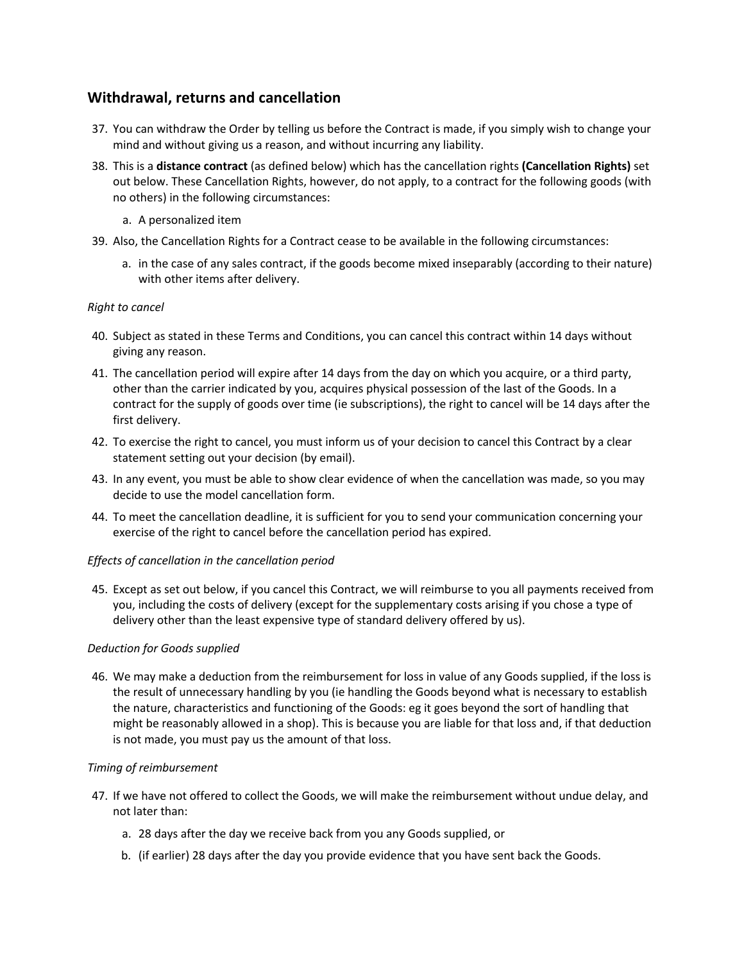# **Withdrawal, returns and cancellation**

- 37. You can withdraw the Order by telling us before the Contract is made, if you simply wish to change your mind and without giving us a reason, and without incurring any liability.
- 38. This is a **distance contract** (as defined below) which has the cancellation rights **(Cancellation Rights)** set out below. These Cancellation Rights, however, do not apply, to a contract for the following goods (with no others) in the following circumstances:
	- a. A personalized item
- 39. Also, the Cancellation Rights for a Contract cease to be available in the following circumstances:
	- a. in the case of any sales contract, if the goods become mixed inseparably (according to their nature) with other items after delivery.

#### *Right to cancel*

- 40. Subject as stated in these Terms and Conditions, you can cancel this contract within 14 days without giving any reason.
- 41. The cancellation period will expire after 14 days from the day on which you acquire, or a third party, other than the carrier indicated by you, acquires physical possession of the last of the Goods. In a contract for the supply of goods over time (ie subscriptions), the right to cancel will be 14 days after the first delivery.
- 42. To exercise the right to cancel, you must inform us of your decision to cancel this Contract by a clear statement setting out your decision (by email).
- 43. In any event, you must be able to show clear evidence of when the cancellation was made, so you may decide to use the model cancellation form.
- 44. To meet the cancellation deadline, it is sufficient for you to send your communication concerning your exercise of the right to cancel before the cancellation period has expired.

#### *Effects of cancellation in the cancellation period*

45. Except as set out below, if you cancel this Contract, we will reimburse to you all payments received from you, including the costs of delivery (except for the supplementary costs arising if you chose a type of delivery other than the least expensive type of standard delivery offered by us).

#### *Deduction for Goods supplied*

46. We may make a deduction from the reimbursement for loss in value of any Goods supplied, if the loss is the result of unnecessary handling by you (ie handling the Goods beyond what is necessary to establish the nature, characteristics and functioning of the Goods: eg it goes beyond the sort of handling that might be reasonably allowed in a shop). This is because you are liable for that loss and, if that deduction is not made, you must pay us the amount of that loss.

#### *Timing of reimbursement*

- 47. If we have not offered to collect the Goods, we will make the reimbursement without undue delay, and not later than:
	- a. 28 days after the day we receive back from you any Goods supplied, or
	- b. (if earlier) 28 days after the day you provide evidence that you have sent back the Goods.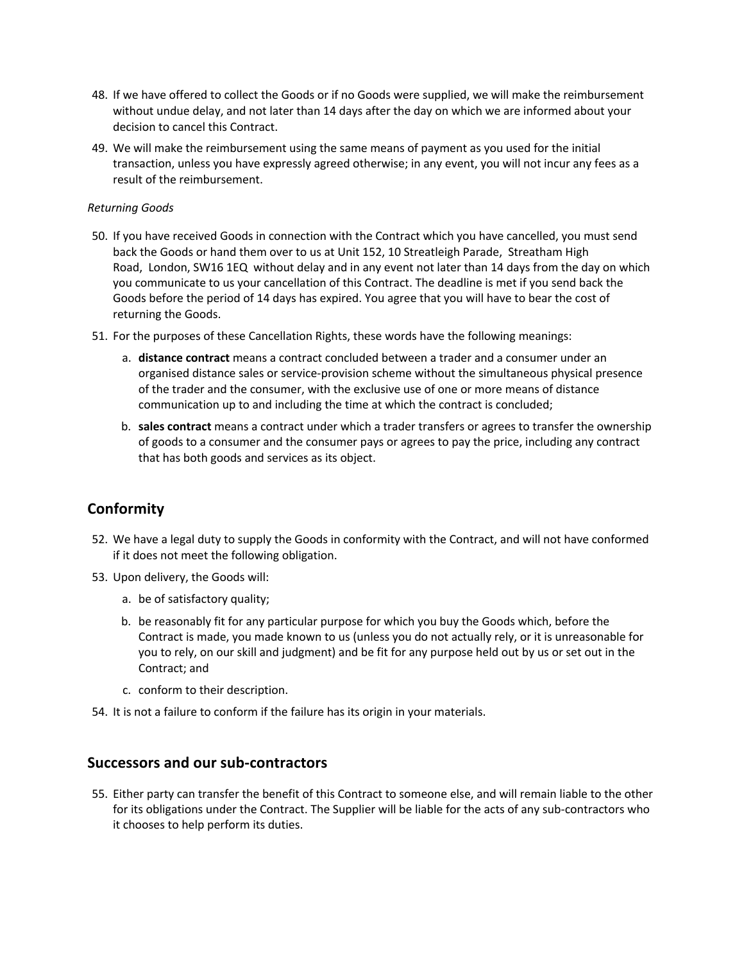- 48. If we have offered to collect the Goods or if no Goods were supplied, we will make the reimbursement without undue delay, and not later than 14 days after the day on which we are informed about your decision to cancel this Contract.
- 49. We will make the reimbursement using the same means of payment as you used for the initial transaction, unless you have expressly agreed otherwise; in any event, you will not incur any fees as a result of the reimbursement.

#### *Returning Goods*

- 50. If you have received Goods in connection with the Contract which you have cancelled, you must send back the Goods or hand them over to us at Unit 152, 10 Streatleigh Parade, Streatham High Road, London, SW16 1EQ without delay and in any event not later than 14 days from the day on which you communicate to us your cancellation of this Contract. The deadline is met if you send back the Goods before the period of 14 days has expired. You agree that you will have to bear the cost of returning the Goods.
- 51. For the purposes of these Cancellation Rights, these words have the following meanings:
	- a. **distance contract** means a contract concluded between a trader and a consumer under an organised distance sales or service-provision scheme without the simultaneous physical presence of the trader and the consumer, with the exclusive use of one or more means of distance communication up to and including the time at which the contract is concluded;
	- b. **sales contract** means a contract under which a trader transfers or agrees to transfer the ownership of goods to a consumer and the consumer pays or agrees to pay the price, including any contract that has both goods and services as its object.

# **Conformity**

- 52. We have a legal duty to supply the Goods in conformity with the Contract, and will not have conformed if it does not meet the following obligation.
- 53. Upon delivery, the Goods will:
	- a. be of satisfactory quality;
	- b. be reasonably fit for any particular purpose for which you buy the Goods which, before the Contract is made, you made known to us (unless you do not actually rely, or it is unreasonable for you to rely, on our skill and judgment) and be fit for any purpose held out by us or set out in the Contract; and
	- c. conform to their description.
- 54. It is not a failure to conform if the failure has its origin in your materials.

### **Successors and our sub-contractors**

55. Either party can transfer the benefit of this Contract to someone else, and will remain liable to the other for its obligations under the Contract. The Supplier will be liable for the acts of any sub-contractors who it chooses to help perform its duties.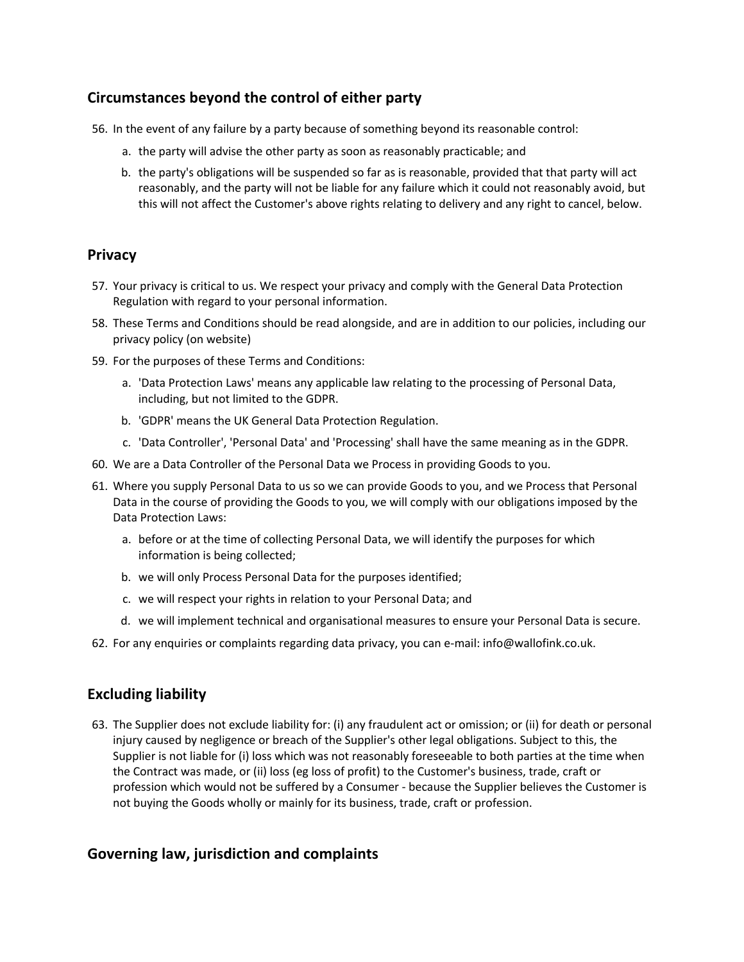# **Circumstances beyond the control of either party**

- 56. In the event of any failure by a party because of something beyond its reasonable control:
	- a. the party will advise the other party as soon as reasonably practicable; and
	- b. the party's obligations will be suspended so far as is reasonable, provided that that party will act reasonably, and the party will not be liable for any failure which it could not reasonably avoid, but this will not affect the Customer's above rights relating to delivery and any right to cancel, below.

### **Privacy**

- 57. Your privacy is critical to us. We respect your privacy and comply with the General Data Protection Regulation with regard to your personal information.
- 58. These Terms and Conditions should be read alongside, and are in addition to our policies, including our privacy policy (on website)
- 59. For the purposes of these Terms and Conditions:
	- a. 'Data Protection Laws' means any applicable law relating to the processing of Personal Data, including, but not limited to the GDPR.
	- b. 'GDPR' means the UK General Data Protection Regulation.
	- c. 'Data Controller', 'Personal Data' and 'Processing' shall have the same meaning as in the GDPR.
- 60. We are a Data Controller of the Personal Data we Process in providing Goods to you.
- 61. Where you supply Personal Data to us so we can provide Goods to you, and we Process that Personal Data in the course of providing the Goods to you, we will comply with our obligations imposed by the Data Protection Laws:
	- a. before or at the time of collecting Personal Data, we will identify the purposes for which information is being collected;
	- b. we will only Process Personal Data for the purposes identified;
	- c. we will respect your rights in relation to your Personal Data; and
	- d. we will implement technical and organisational measures to ensure your Personal Data is secure.
- 62. For any enquiries or complaints regarding data privacy, you can e-mail: info@wallofink.co.uk.

# **Excluding liability**

63. The Supplier does not exclude liability for: (i) any fraudulent act or omission; or (ii) for death or personal injury caused by negligence or breach of the Supplier's other legal obligations. Subject to this, the Supplier is not liable for (i) loss which was not reasonably foreseeable to both parties at the time when the Contract was made, or (ii) loss (eg loss of profit) to the Customer's business, trade, craft or profession which would not be suffered by a Consumer - because the Supplier believes the Customer is not buying the Goods wholly or mainly for its business, trade, craft or profession.

# **Governing law, jurisdiction and complaints**